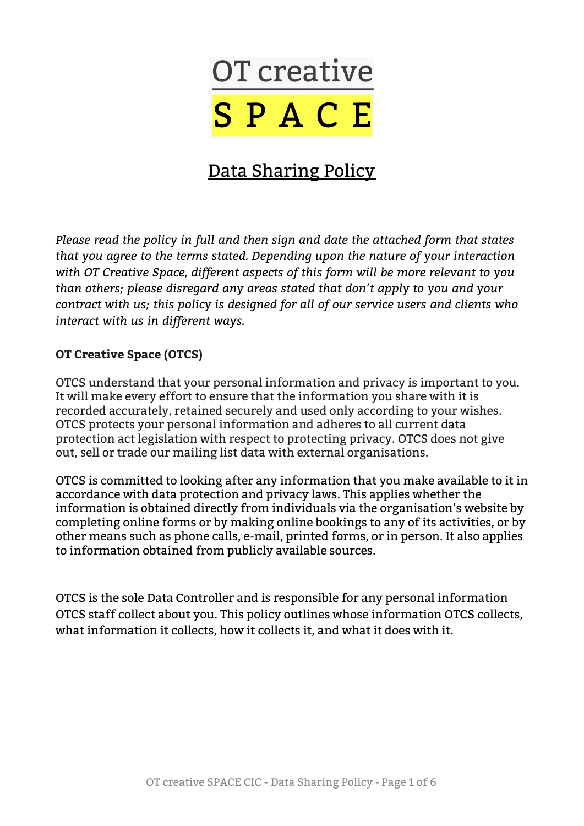

# Data Sharing Policy

*Please read the policy in full and then sign and date the attached form that states that you agree to the terms stated. Depending upon the nature of your interaction with OT Creative Space, different aspects of this form will be more relevant to you than others; please disregard any areas stated that don't apply to you and your contract with us; this policy is designed for all of our service users and clients who interact with us in different ways.*

#### **OT Creative Space (OTCS)**

OTCS understand that your personal information and privacy is important to you. It will make every effort to ensure that the information you share with it is recorded accurately, retained securely and used only according to your wishes. OTCS protects your personal information and adheres to all current data protection act legislation with respect to protecting privacy. OTCS does not give out, sell or trade our mailing list data with external organisations.

OTCS is committed to looking after any information that you make available to it in accordance with data protection and privacy laws. This applies whether the information is obtained directly from individuals via the organisation's website by completing online forms or by making online bookings to any of its activities, or by other means such as phone calls, e-mail, printed forms, or in person. It also applies to information obtained from publicly available sources.

OTCS is the sole Data Controller and is responsible for any personal information OTCS staff collect about you. This policy outlines whose information OTCS collects, what information it collects, how it collects it, and what it does with it.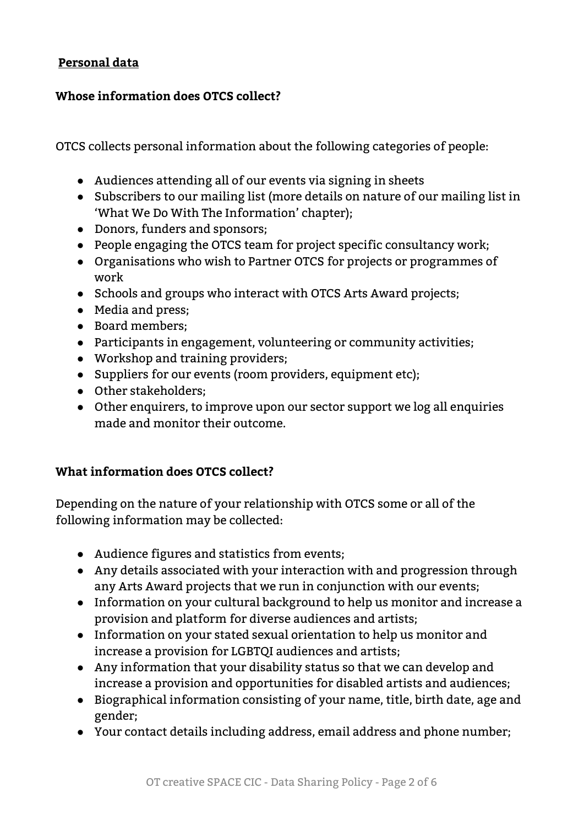## **Personal data**

## **Whose information does OTCS collect?**

OTCS collects personal information about the following categories of people:

- Audiences attending all of our events via signing in sheets
- Subscribers to our mailing list (more details on nature of our mailing list in 'What We Do With The Information' chapter);
- Donors, funders and sponsors;
- People engaging the OTCS team for project specific consultancy work;
- Organisations who wish to Partner OTCS for projects or programmes of work
- Schools and groups who interact with OTCS Arts Award projects;
- Media and press;
- Board members;
- Participants in engagement, volunteering or community activities;
- Workshop and training providers;
- Suppliers for our events (room providers, equipment etc);
- Other stakeholders;
- Other enquirers, to improve upon our sector support we log all enquiries made and monitor their outcome.

# **What information does OTCS collect?**

Depending on the nature of your relationship with OTCS some or all of the following information may be collected:

- Audience figures and statistics from events;
- Any details associated with your interaction with and progression through any Arts Award projects that we run in conjunction with our events;
- Information on your cultural background to help us monitor and increase a provision and platform for diverse audiences and artists;
- Information on your stated sexual orientation to help us monitor and increase a provision for LGBTQI audiences and artists;
- Any information that your disability status so that we can develop and increase a provision and opportunities for disabled artists and audiences;
- Biographical information consisting of your name, title, birth date, age and gender;
- Your contact details including address, email address and phone number;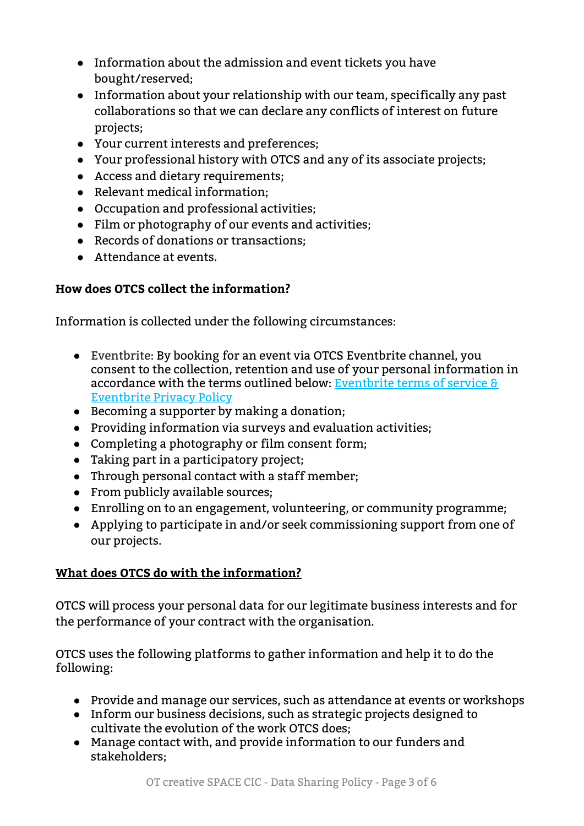- Information about the admission and event tickets you have bought/reserved;
- Information about your relationship with our team, specifically any past collaborations so that we can declare any conflicts of interest on future projects;
- Your current interests and preferences;
- Your professional history with OTCS and any of its associate projects;
- Access and dietary requirements;
- Relevant medical information;
- Occupation and professional activities;
- Film or photography of our events and activities;
- Records of donations or transactions;
- Attendance at events.

# **How does OTCS collect the information?**

Information is collected under the following circumstances:

- Eventbrite: By booking for an event via OTCS Eventbrite channel, you consent to the collection, retention and use of your personal information in accordance with the terms outlined below: [Eventbrite](https://www.eventbrite.co.uk/support/articles/en_US/Troubleshooting/eventbrite-terms-of-service?lg=en_GB) terms of service & [Eventbrite](https://www.eventbrite.co.uk/support/articles/en_US/Troubleshooting/eventbrite-privacy-policy?lg=en_GB) Privacy Policy
- Becoming a supporter by making a donation;
- Providing information via surveys and evaluation activities;
- Completing a photography or film consent form;
- Taking part in a participatory project;
- Through personal contact with a staff member;
- From publicly available sources;
- Enrolling on to an engagement, volunteering, or community programme;
- Applying to participate in and/or seek commissioning support from one of our projects.

# **What does OTCS do with the information?**

OTCS will process your personal data for our legitimate business interests and for the performance of your contract with the organisation.

OTCS uses the following platforms to gather information and help it to do the following:

- Provide and manage our services, such as attendance at events or workshops
- Inform our business decisions, such as strategic projects designed to cultivate the evolution of the work OTCS does;
- Manage contact with, and provide information to our funders and stakeholders;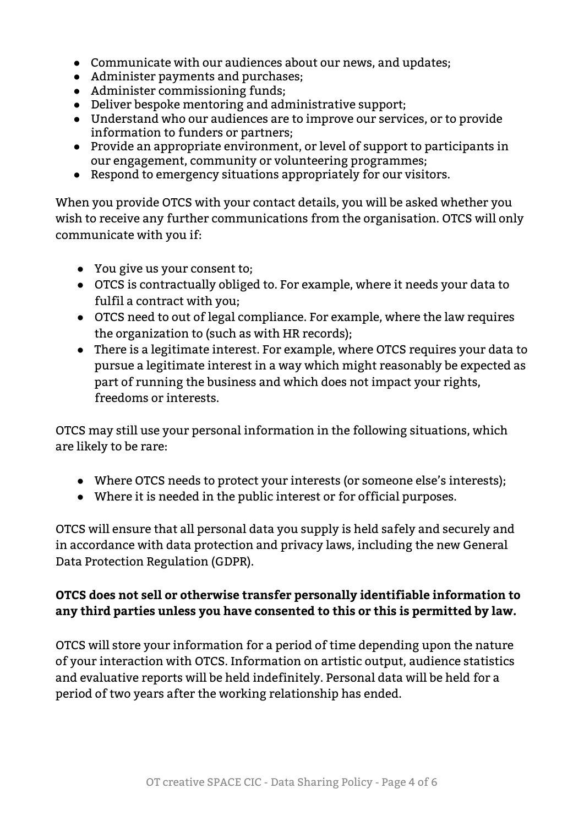- Communicate with our audiences about our news, and updates;
- Administer payments and purchases;
- Administer commissioning funds;
- Deliver bespoke mentoring and administrative support;
- Understand who our audiences are to improve our services, or to provide information to funders or partners;
- Provide an appropriate environment, or level of support to participants in our engagement, community or volunteering programmes;
- Respond to emergency situations appropriately for our visitors.

When you provide OTCS with your contact details, you will be asked whether you wish to receive any further communications from the organisation. OTCS will only communicate with you if:

- You give us your consent to;
- OTCS is contractually obliged to. For example, where it needs your data to fulfil a contract with you;
- OTCS need to out of legal compliance. For example, where the law requires the organization to (such as with HR records);
- There is a legitimate interest. For example, where OTCS requires your data to pursue a legitimate interest in a way which might reasonably be expected as part of running the business and which does not impact your rights, freedoms or interests.

OTCS may still use your personal information in the following situations, which are likely to be rare:

- Where OTCS needs to protect your interests (or someone else's interests);
- Where it is needed in the public interest or for official purposes.

OTCS will ensure that all personal data you supply is held safely and securely and in accordance with data protection and privacy laws, including the new General Data Protection Regulation (GDPR).

# **OTCS does not sell or otherwise transfer personally identifiable information to any third parties unless you have consented to this or this is permitted by law.**

OTCS will store your information for a period of time depending upon the nature of your interaction with OTCS. Information on artistic output, audience statistics and evaluative reports will be held indefinitely. Personal data will be held for a period of two years after the working relationship has ended.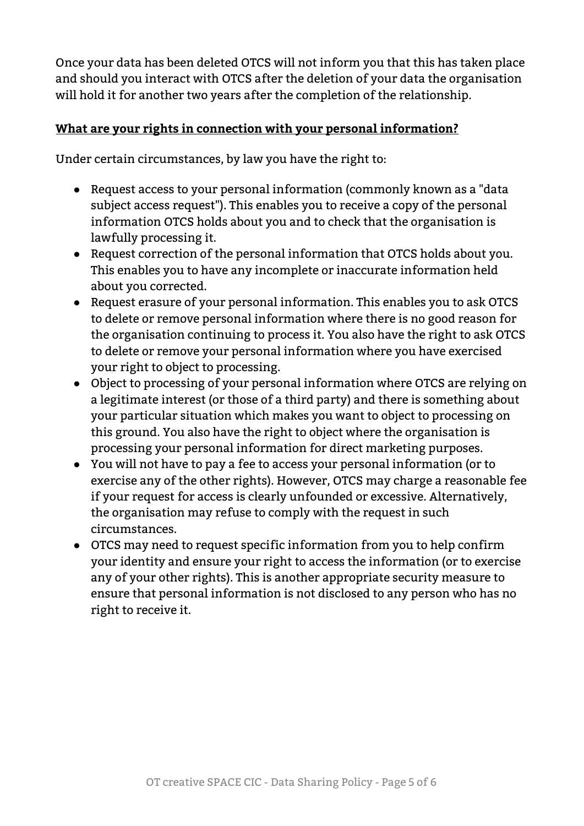Once your data has been deleted OTCS will not inform you that this has taken place and should you interact with OTCS after the deletion of your data the organisation will hold it for another two years after the completion of the relationship.

## **What are your rights in connection with your personal information?**

Under certain circumstances, by law you have the right to:

- Request access to your personal information (commonly known as a "data subject access request"). This enables you to receive a copy of the personal information OTCS holds about you and to check that the organisation is lawfully processing it.
- Request correction of the personal information that OTCS holds about you. This enables you to have any incomplete or inaccurate information held about you corrected.
- Request erasure of your personal information. This enables you to ask OTCS to delete or remove personal information where there is no good reason for the organisation continuing to process it. You also have the right to ask OTCS to delete or remove your personal information where you have exercised your right to object to processing.
- Object to processing of your personal information where OTCS are relying on a legitimate interest (or those of a third party) and there is something about your particular situation which makes you want to object to processing on this ground. You also have the right to object where the organisation is processing your personal information for direct marketing purposes.
- You will not have to pay a fee to access your personal information (or to exercise any of the other rights). However, OTCS may charge a reasonable fee if your request for access is clearly unfounded or excessive. Alternatively, the organisation may refuse to comply with the request in such circumstances.
- OTCS may need to request specific information from you to help confirm your identity and ensure your right to access the information (or to exercise any of your other rights). This is another appropriate security measure to ensure that personal information is not disclosed to any person who has no right to receive it.